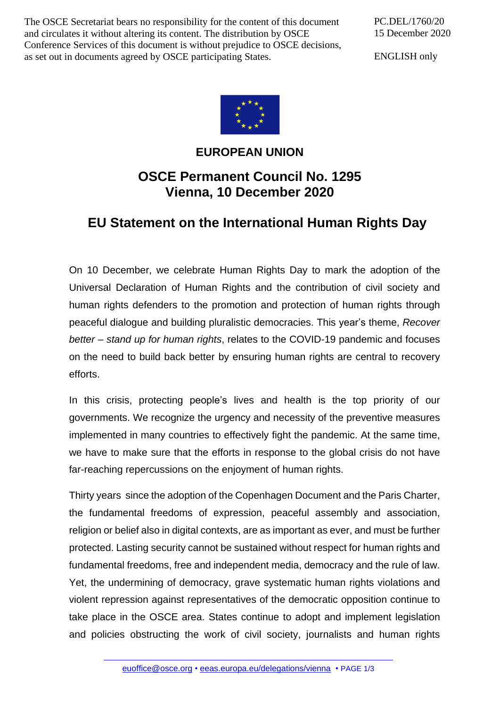The OSCE Secretariat bears no responsibility for the content of this document and circulates it without altering its content. The distribution by OSCE Conference Services of this document is without prejudice to OSCE decisions, as set out in documents agreed by OSCE participating States.

ENGLISH only



## **EUROPEAN UNION**

## **OSCE Permanent Council No. 1295 Vienna, 10 December 2020**

## **EU Statement on the International Human Rights Day**

On 10 December, we celebrate Human Rights Day to mark the adoption of the Universal Declaration of Human Rights and the contribution of civil society and human rights defenders to the promotion and protection of human rights through peaceful dialogue and building pluralistic democracies. This year's theme, *Recover better – stand up for human rights*, relates to the COVID-19 pandemic and focuses on the need to build back better by ensuring human rights are central to recovery efforts.

In this crisis, protecting people's lives and health is the top priority of our governments. We recognize the urgency and necessity of the preventive measures implemented in many countries to effectively fight the pandemic. At the same time, we have to make sure that the efforts in response to the global crisis do not have far-reaching repercussions on the enjoyment of human rights.

Thirty years since the adoption of the Copenhagen Document and the Paris Charter, the fundamental freedoms of expression, peaceful assembly and association, religion or belief also in digital contexts, are as important as ever, and must be further protected. Lasting security cannot be sustained without respect for human rights and fundamental freedoms, free and independent media, democracy and the rule of law. Yet, the undermining of democracy, grave systematic human rights violations and violent repression against representatives of the democratic opposition continue to take place in the OSCE area. States continue to adopt and implement legislation and policies obstructing the work of civil society, journalists and human rights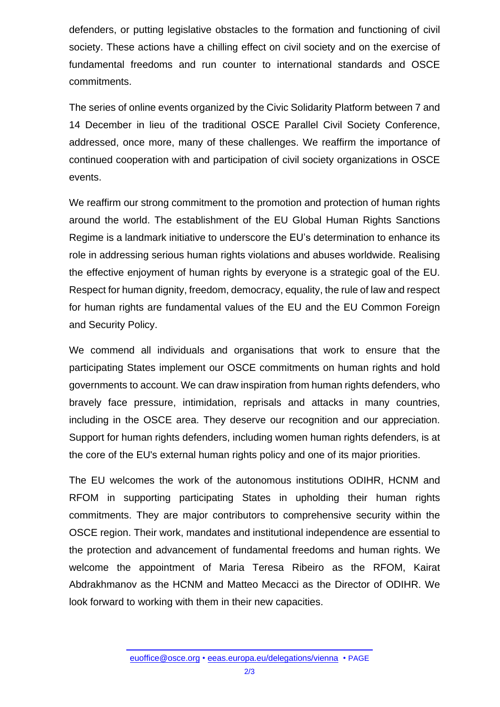defenders, or putting legislative obstacles to the formation and functioning of civil society. These actions have a chilling effect on civil society and on the exercise of fundamental freedoms and run counter to international standards and OSCE commitments.

The series of online events organized by the Civic Solidarity Platform between 7 and 14 December in lieu of the traditional OSCE Parallel Civil Society Conference, addressed, once more, many of these challenges. We reaffirm the importance of continued cooperation with and participation of civil society organizations in OSCE events.

We reaffirm our strong commitment to the promotion and protection of human rights around the world. The establishment of the EU Global Human Rights Sanctions Regime is a landmark initiative to underscore the EU's determination to enhance its role in addressing serious human rights violations and abuses worldwide. Realising the effective enjoyment of human rights by everyone is a strategic goal of the EU. Respect for human dignity, freedom, democracy, equality, the rule of law and respect for human rights are fundamental values of the EU and the EU Common Foreign and Security Policy.

We commend all individuals and organisations that work to ensure that the participating States implement our OSCE commitments on human rights and hold governments to account. We can draw inspiration from human rights defenders, who bravely face pressure, intimidation, reprisals and attacks in many countries, including in the OSCE area. They deserve our recognition and our appreciation. Support for human rights defenders, including women human rights defenders, is at the core of the EU's external human rights policy and one of its major priorities.

The EU welcomes the work of the autonomous institutions ODIHR, HCNM and RFOM in supporting participating States in upholding their human rights commitments. They are major contributors to comprehensive security within the OSCE region. Their work, mandates and institutional independence are essential to the protection and advancement of fundamental freedoms and human rights. We welcome the appointment of Maria Teresa Ribeiro as the RFOM, Kairat Abdrakhmanov as the HCNM and Matteo Mecacci as the Director of ODIHR. We look forward to working with them in their new capacities.